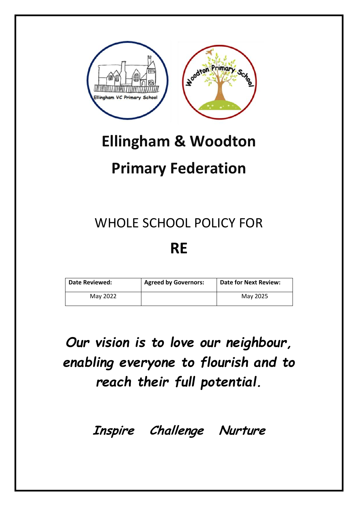

## **Ellingham & Woodton**

## **Primary Federation**

# WHOLE SCHOOL POLICY FOR

### **RE**

| l Date Reviewed: | <b>Agreed by Governors:</b> | <b>Date for Next Review:</b> |
|------------------|-----------------------------|------------------------------|
| May 2022         |                             | May 2025                     |

*Our vision is to love our neighbour, enabling everyone to flourish and to reach their full potential.* 

**Inspire Challenge Nurture**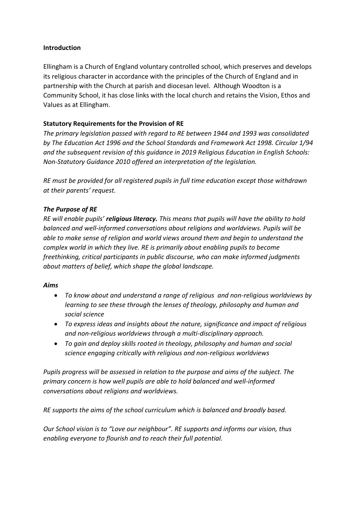#### **Introduction**

Ellingham is a Church of England voluntary controlled school, which preserves and develops its religious character in accordance with the principles of the Church of England and in partnership with the Church at parish and diocesan level. Although Woodton is a Community School, it has close links with the local church and retains the Vision, Ethos and Values as at Ellingham.

#### **Statutory Requirements for the Provision of RE**

*The primary legislation passed with regard to RE between 1944 and 1993 was consolidated by The Education Act 1996 and the School Standards and Framework Act 1998. Circular 1/94 and the subsequent revision of this guidance in 2019 Religious Education in English Schools: Non-Statutory Guidance 2010 offered an interpretation of the legislation.*

*RE must be provided for all registered pupils in full time education except those withdrawn at their parents' request.*

#### *The Purpose of RE*

*RE will enable pupils' religious literacy. This means that pupils will have the ability to hold balanced and well-informed conversations about religions and worldviews. Pupils will be able to make sense of religion and world views around them and begin to understand the complex world in which they live. RE is primarily about enabling pupils to become freethinking, critical participants in public discourse, who can make informed judgments about matters of belief, which shape the global landscape.*

#### *Aims*

- *To know about and understand a range of religious and non-religious worldviews by learning to see these through the lenses of theology, philosophy and human and social science*
- *To express ideas and insights about the nature, significance and impact of religious and non-religious worldviews through a multi-disciplinary approach.*
- *To gain and deploy skills rooted in theology, philosophy and human and social science engaging critically with religious and non-religious worldviews*

*Pupils progress will be assessed in relation to the purpose and aims of the subject. The primary concern is how well pupils are able to hold balanced and well-informed conversations about religions and worldviews.*

*RE supports the aims of the school curriculum which is balanced and broadly based.* 

*Our School vision is to "Love our neighbour". RE supports and informs our vision, thus enabling everyone to flourish and to reach their full potential.*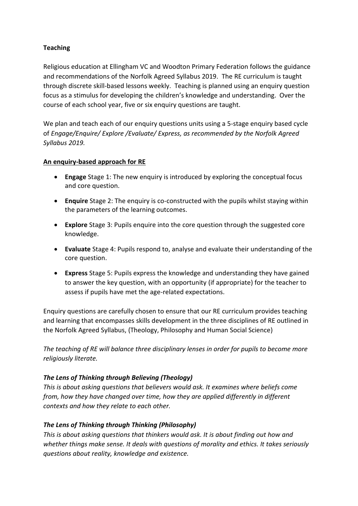#### **Teaching**

Religious education at Ellingham VC and Woodton Primary Federation follows the guidance and recommendations of the Norfolk Agreed Syllabus 2019. The RE curriculum is taught through discrete skill-based lessons weekly. Teaching is planned using an enquiry question focus as a stimulus for developing the children's knowledge and understanding. Over the course of each school year, five or six enquiry questions are taught.

We plan and teach each of our enquiry questions units using a 5-stage enquiry based cycle of *Engage/Enquire/ Explore /Evaluate/ Express, as recommended by the Norfolk Agreed Syllabus 2019.*

#### **An enquiry-based approach for RE**

- **Engage** Stage 1: The new enquiry is introduced by exploring the conceptual focus and core question.
- **Enquire** Stage 2: The enquiry is co-constructed with the pupils whilst staying within the parameters of the learning outcomes.
- **Explore** Stage 3: Pupils enquire into the core question through the suggested core knowledge.
- **Evaluate** Stage 4: Pupils respond to, analyse and evaluate their understanding of the core question.
- **Express** Stage 5: Pupils express the knowledge and understanding they have gained to answer the key question, with an opportunity (if appropriate) for the teacher to assess if pupils have met the age-related expectations.

Enquiry questions are carefully chosen to ensure that our RE curriculum provides teaching and learning that encompasses skills development in the three disciplines of RE outlined in the Norfolk Agreed Syllabus, (Theology, Philosophy and Human Social Science)

*The teaching of RE will balance three disciplinary lenses in order for pupils to become more religiously literate.*

#### *The Lens of Thinking through Believing (Theology)*

*This is about asking questions that believers would ask. It examines where beliefs come from, how they have changed over time, how they are applied differently in different contexts and how they relate to each other.*

#### *The Lens of Thinking through Thinking (Philosophy)*

*This is about asking questions that thinkers would ask. It is about finding out how and whether things make sense. It deals with questions of morality and ethics. It takes seriously questions about reality, knowledge and existence.*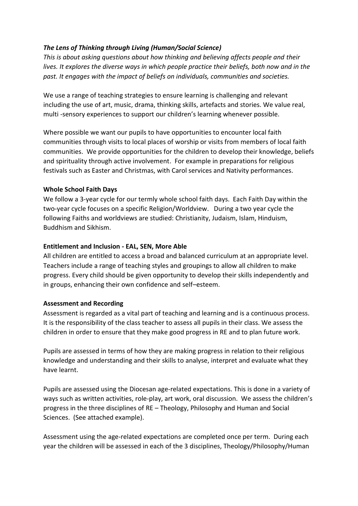#### *The Lens of Thinking through Living (Human/Social Science)*

*This is about asking questions about how thinking and believing affects people and their lives. It explores the diverse ways in which people practice their beliefs, both now and in the past. It engages with the impact of beliefs on individuals, communities and societies.*

We use a range of teaching strategies to ensure learning is challenging and relevant including the use of art, music, drama, thinking skills, artefacts and stories. We value real, multi -sensory experiences to support our children's learning whenever possible.

Where possible we want our pupils to have opportunities to encounter local faith communities through visits to local places of worship or visits from members of local faith communities. We provide opportunities for the children to develop their knowledge, beliefs and spirituality through active involvement. For example in preparations for religious festivals such as Easter and Christmas, with Carol services and Nativity performances.

#### **Whole School Faith Days**

We follow a 3-year cycle for our termly whole school faith days. Each Faith Day within the two-year cycle focuses on a specific Religion/Worldview. During a two year cycle the following Faiths and worldviews are studied: Christianity, Judaism, Islam, Hinduism, Buddhism and Sikhism.

#### **Entitlement and Inclusion - EAL, SEN, More Able**

All children are entitled to access a broad and balanced curriculum at an appropriate level. Teachers include a range of teaching styles and groupings to allow all children to make progress. Every child should be given opportunity to develop their skills independently and in groups, enhancing their own confidence and self–esteem.

#### **Assessment and Recording**

Assessment is regarded as a vital part of teaching and learning and is a continuous process. It is the responsibility of the class teacher to assess all pupils in their class. We assess the children in order to ensure that they make good progress in RE and to plan future work.

Pupils are assessed in terms of how they are making progress in relation to their religious knowledge and understanding and their skills to analyse, interpret and evaluate what they have learnt.

Pupils are assessed using the Diocesan age-related expectations. This is done in a variety of ways such as written activities, role-play, art work, oral discussion. We assess the children's progress in the three disciplines of RE – Theology, Philosophy and Human and Social Sciences. (See attached example).

Assessment using the age-related expectations are completed once per term. During each year the children will be assessed in each of the 3 disciplines, Theology/Philosophy/Human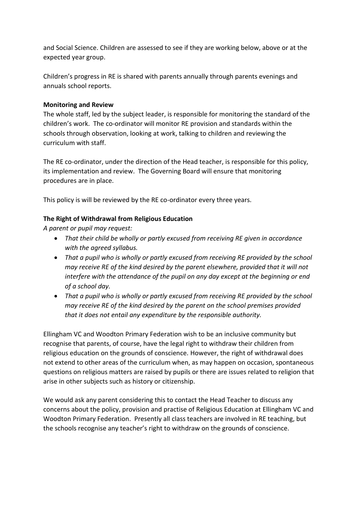and Social Science. Children are assessed to see if they are working below, above or at the expected year group.

Children's progress in RE is shared with parents annually through parents evenings and annuals school reports.

#### **Monitoring and Review**

The whole staff, led by the subject leader, is responsible for monitoring the standard of the children's work. The co-ordinator will monitor RE provision and standards within the schools through observation, looking at work, talking to children and reviewing the curriculum with staff.

The RE co-ordinator, under the direction of the Head teacher, is responsible for this policy, its implementation and review. The Governing Board will ensure that monitoring procedures are in place.

This policy is will be reviewed by the RE co-ordinator every three years.

#### **The Right of Withdrawal from Religious Education**

*A parent or pupil may request:*

- *That their child be wholly or partly excused from receiving RE given in accordance with the agreed syllabus.*
- *That a pupil who is wholly or partly excused from receiving RE provided by the school may receive RE of the kind desired by the parent elsewhere, provided that it will not interfere with the attendance of the pupil on any day except at the beginning or end of a school day.*
- *That a pupil who is wholly or partly excused from receiving RE provided by the school may receive RE of the kind desired by the parent on the school premises provided that it does not entail any expenditure by the responsible authority.*

Ellingham VC and Woodton Primary Federation wish to be an inclusive community but recognise that parents, of course, have the legal right to withdraw their children from religious education on the grounds of conscience. However, the right of withdrawal does not extend to other areas of the curriculum when, as may happen on occasion, spontaneous questions on religious matters are raised by pupils or there are issues related to religion that arise in other subjects such as history or citizenship.

We would ask any parent considering this to contact the Head Teacher to discuss any concerns about the policy, provision and practise of Religious Education at Ellingham VC and Woodton Primary Federation. Presently all class teachers are involved in RE teaching, but the schools recognise any teacher's right to withdraw on the grounds of conscience.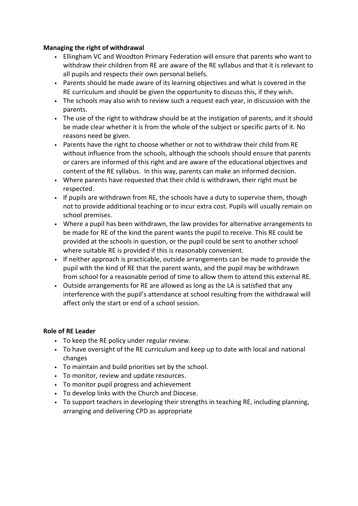#### **Managing the right of withdrawal**

- Ellingham VC and Woodton Primary Federation will ensure that parents who want to withdraw their children from RE are aware of the RE syllabus and that it is relevant to all pupils and respects their own personal beliefs.
- Parents should be made aware of its learning objectives and what is covered in the RE curriculum and should be given the opportunity to discuss this, if they wish.
- The schools may also wish to review such a request each year, in discussion with the parents.
- The use of the right to withdraw should be at the instigation of parents, and it should be made clear whether it is from the whole of the subject or specific parts of it. No reasons need be given.
- Parents have the right to choose whether or not to withdraw their child from RE without influence from the schools, although the schools should ensure that parents or carers are informed of this right and are aware of the educational objectives and content of the RE syllabus. In this way, parents can make an informed decision.
- Where parents have requested that their child is withdrawn, their right must be respected.
- If pupils are withdrawn from RE, the schools have a duty to supervise them, though not to provide additional teaching or to incur extra cost. Pupils will usually remain on school premises.
- Where a pupil has been withdrawn, the law provides for alternative arrangements to be made for RE of the kind the parent wants the pupil to receive. This RE could be provided at the schools in question, or the pupil could be sent to another school where suitable RE is provided if this is reasonably convenient.
- If neither approach is practicable, outside arrangements can be made to provide the pupil with the kind of RE that the parent wants, and the pupil may be withdrawn from school for a reasonable period of time to allow them to attend this external RE.
- Outside arrangements for RE are allowed as long as the LA is satisfied that any interference with the pupil's attendance at school resulting from the withdrawal will affect only the start or end of a school session.

#### **Role of RE Leader**

- To keep the RE policy under regular review.
- To have oversight of the RE curriculum and keep up to date with local and national changes
- To maintain and build priorities set by the school.
- To monitor, review and update resources.
- To monitor pupil progress and achievement
- To develop links with the Church and Diocese.
- To support teachers in developing their strengths in teaching RE, including planning, arranging and delivering CPD as appropriate